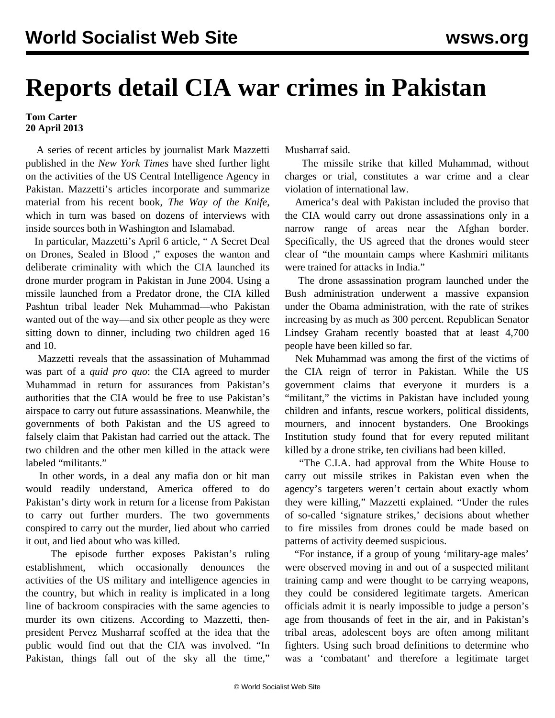## **Reports detail CIA war crimes in Pakistan**

## **Tom Carter 20 April 2013**

 A series of recent articles by journalist Mark Mazzetti published in the *New York Times* have shed further light on the activities of the US Central Intelligence Agency in Pakistan. Mazzetti's articles incorporate and summarize material from his recent book, *The Way of the Knife*, which in turn was based on dozens of interviews with inside sources both in Washington and Islamabad.

 In particular, Mazzetti's April 6 article, " [A Secret Deal](http://www.nytimes.com/2013/04/07/world/asia/origins-of-cias-not-so-secret-drone-war-in-pakistan.html?pagewanted=all&_r=0) [on Drones, Sealed in Blood](http://www.nytimes.com/2013/04/07/world/asia/origins-of-cias-not-so-secret-drone-war-in-pakistan.html?pagewanted=all&_r=0) ," exposes the wanton and deliberate criminality with which the CIA launched its drone murder program in Pakistan in June 2004. Using a missile launched from a Predator drone, the CIA killed Pashtun tribal leader Nek Muhammad—who Pakistan wanted out of the way—and six other people as they were sitting down to dinner, including two children aged 16 and 10.

 Mazzetti reveals that the assassination of Muhammad was part of a *quid pro quo*: the CIA agreed to murder Muhammad in return for assurances from Pakistan's authorities that the CIA would be free to use Pakistan's airspace to carry out future assassinations. Meanwhile, the governments of both Pakistan and the US agreed to falsely claim that Pakistan had carried out the attack. The two children and the other men killed in the attack were labeled "militants."

 In other words, in a deal any mafia don or hit man would readily understand, America offered to do Pakistan's dirty work in return for a license from Pakistan to carry out further murders. The two governments conspired to carry out the murder, lied about who carried it out, and lied about who was killed.

 The episode further exposes Pakistan's ruling establishment, which occasionally denounces the activities of the US military and intelligence agencies in the country, but which in reality is implicated in a long line of backroom conspiracies with the same agencies to murder its own citizens. According to Mazzetti, thenpresident Pervez Musharraf scoffed at the idea that the public would find out that the CIA was involved. "In Pakistan, things fall out of the sky all the time,"

Musharraf said.

 The missile strike that killed Muhammad, without charges or trial, constitutes a war crime and a clear violation of international law.

 America's deal with Pakistan included the proviso that the CIA would carry out drone assassinations only in a narrow range of areas near the Afghan border. Specifically, the US agreed that the drones would steer clear of "the mountain camps where Kashmiri militants were trained for attacks in India."

 The drone assassination program launched under the Bush administration underwent a massive expansion under the Obama administration, with the rate of strikes increasing by as much as 300 percent. Republican Senator Lindsey Graham recently boasted that at least 4,700 people have been killed so far.

 Nek Muhammad was among the first of the victims of the CIA reign of terror in Pakistan. While the US government claims that everyone it murders is a "militant," the victims in Pakistan have included young children and infants, rescue workers, political dissidents, mourners, and innocent bystanders. One Brookings Institution study found that for every reputed militant killed by a drone strike, ten civilians had been killed.

 "The C.I.A. had approval from the White House to carry out missile strikes in Pakistan even when the agency's targeters weren't certain about exactly whom they were killing," Mazzetti explained. "Under the rules of so-called 'signature strikes,' decisions about whether to fire missiles from drones could be made based on patterns of activity deemed suspicious.

 "For instance, if a group of young 'military-age males' were observed moving in and out of a suspected militant training camp and were thought to be carrying weapons, they could be considered legitimate targets. American officials admit it is nearly impossible to judge a person's age from thousands of feet in the air, and in Pakistan's tribal areas, adolescent boys are often among militant fighters. Using such broad definitions to determine who was a 'combatant' and therefore a legitimate target